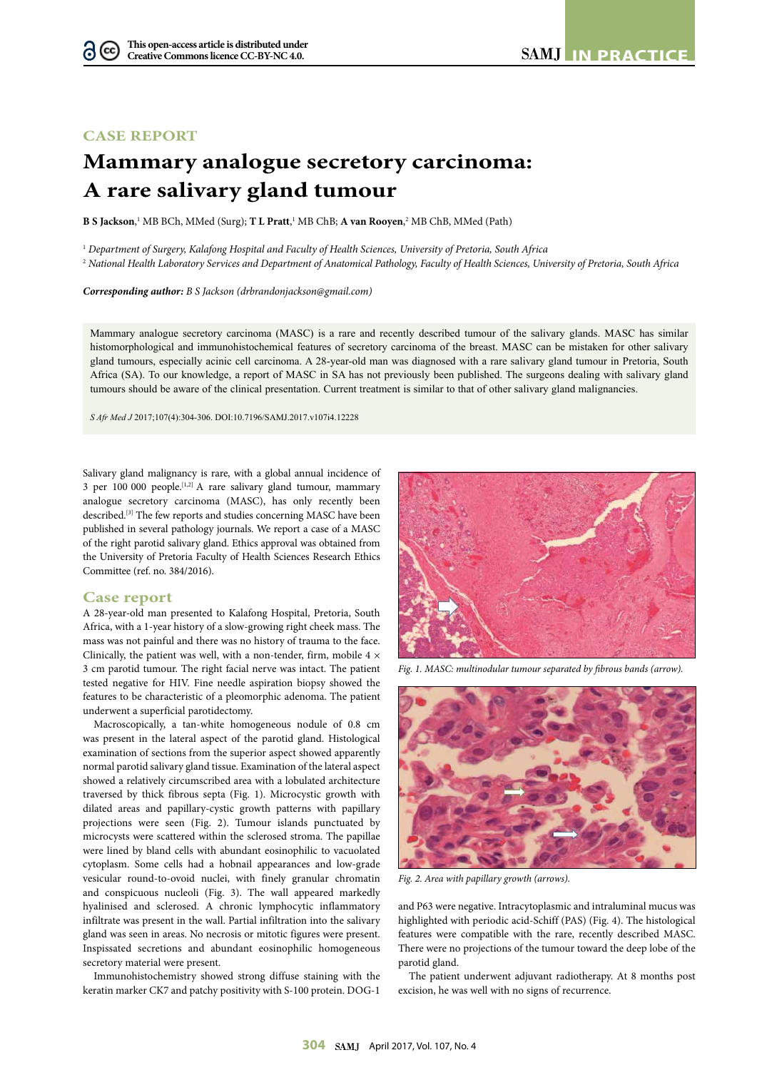## **CASE REPORT**

## **Mammary analogue secretory carcinoma: A rare salivary gland tumour**

**B S Jackson**, 1 MB BCh, MMed (Surg); **T L Pratt**, 1 MB ChB; **A van Rooyen**, 2 MB ChB, MMed (Path)

1  *Department of Surgery, Kalafong Hospital and Faculty of Health Sciences, University of Pretoria, South Africa*

2  *National Health Laboratory Services and Department of Anatomical Pathology, Faculty of Health Sciences, University of Pretoria, South Africa*

*Corresponding author: B S Jackson (drbrandonjackson@gmail.com)*

Mammary analogue secretory carcinoma (MASC) is a rare and recently described tumour of the salivary glands. MASC has similar histomorphological and immunohistochemical features of secretory carcinoma of the breast. MASC can be mistaken for other salivary gland tumours, especially acinic cell carcinoma. A 28-year-old man was diagnosed with a rare salivary gland tumour in Pretoria, South Africa (SA). To our knowledge, a report of MASC in SA has not previously been published. The surgeons dealing with salivary gland tumours should be aware of the clinical presentation. Current treatment is similar to that of other salivary gland malignancies.

*S Afr Med J* 2017;107(4):304-306. DOI:10.7196/SAMJ.2017.v107i4.12228

Salivary gland malignancy is rare, with a global annual incidence of 3 per 100 000 people.[1,2] A rare salivary gland tumour, mammary analogue secretory carcinoma (MASC), has only recently been described.<sup>[3]</sup> The few reports and studies concerning MASC have been published in several pathology journals. We report a case of a MASC of the right parotid salivary gland. Ethics approval was obtained from the University of Pretoria Faculty of Health Sciences Research Ethics Committee (ref. no. 384/2016).

## **Case report**

A 28-year-old man presented to Kalafong Hospital, Pretoria, South Africa, with a 1-year history of a slow-growing right cheek mass. The mass was not painful and there was no history of trauma to the face. Clinically, the patient was well, with a non-tender, firm, mobile 4  $\times$ 3 cm parotid tumour. The right facial nerve was intact. The patient tested negative for HIV. Fine needle aspiration biopsy showed the features to be characteristic of a pleomorphic adenoma. The patient underwent a superficial parotidectomy.

Macroscopically, a tan-white homogeneous nodule of 0.8 cm was present in the lateral aspect of the parotid gland. Histological examination of sections from the superior aspect showed apparently normal parotid salivary gland tissue. Examination of the lateral aspect showed a relatively circumscribed area with a lobulated architecture traversed by thick fibrous septa (Fig. 1). Microcystic growth with dilated areas and papillary-cystic growth patterns with papillary projections were seen (Fig. 2). Tumour islands punctuated by microcysts were scattered within the sclerosed stroma. The papillae were lined by bland cells with abundant eosinophilic to vacuolated cytoplasm. Some cells had a hobnail appearances and low-grade vesicular round-to-ovoid nuclei, with finely granular chromatin and conspicuous nucleoli (Fig. 3). The wall appeared markedly hyalinised and sclerosed. A chronic lymphocytic inflammatory infiltrate was present in the wall. Partial infiltration into the salivary gland was seen in areas. No necrosis or mitotic figures were present. Inspissated secretions and abundant eosinophilic homogeneous secretory material were present.

Immunohistochemistry showed strong diffuse staining with the keratin marker CK7 and patchy positivity with S-100 protein. DOG-1



*Fig. 1. MASC: multinodular tumour separated by fibrous bands (arrow).*



*Fig. 2. Area with papillary growth (arrows).* 

and P63 were negative. Intracytoplasmic and intraluminal mucus was highlighted with periodic acid-Schiff (PAS) (Fig. 4). The histological features were compatible with the rare, recently described MASC. There were no projections of the tumour toward the deep lobe of the parotid gland.

The patient underwent adjuvant radiotherapy. At 8 months post excision, he was well with no signs of recurrence.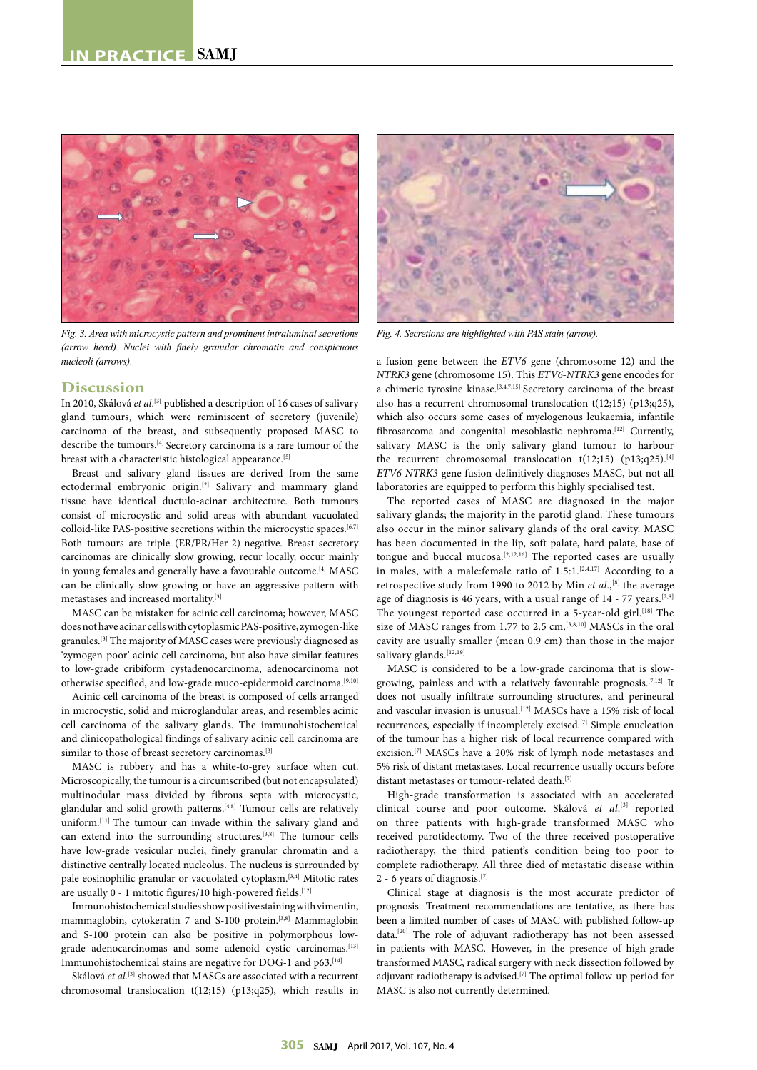

*Fig. 3. Area with microcystic pattern and prominent intraluminal secretions (arrow head). Nuclei with finely granular chromatin and conspicuous nucleoli (arrows).*

## **Discussion**

In 2010, Skálová *et al*.<sup>[3]</sup> published a description of 16 cases of salivary gland tumours, which were reminiscent of secretory (juvenile) carcinoma of the breast, and subsequently proposed MASC to describe the tumours.[4] Secretory carcinoma is a rare tumour of the breast with a characteristic histological appearance.<sup>[5]</sup>

Breast and salivary gland tissues are derived from the same ectodermal embryonic origin.<sup>[2]</sup> Salivary and mammary gland tissue have identical ductulo-acinar architecture. Both tumours consist of microcystic and solid areas with abundant vacuolated colloid-like PAS-positive secretions within the microcystic spaces.[6,7] Both tumours are triple (ER/PR/Her-2)-negative. Breast secretory carcinomas are clinically slow growing, recur locally, occur mainly in young females and generally have a favourable outcome.[4] MASC can be clinically slow growing or have an aggressive pattern with metastases and increased mortality.[3]

MASC can be mistaken for acinic cell carcinoma; however, MASC does not have acinar cells with cytoplasmic PAS-positive, zymogen-like granules.[3] The majority of MASC cases were previously diagnosed as 'zymogen-poor' acinic cell carcinoma, but also have similar features to low-grade cribiform cystadenocarcinoma, adenocarcinoma not otherwise specified, and low-grade muco-epidermoid carcinoma.<sup>[9,10]</sup>

Acinic cell carcinoma of the breast is composed of cells arranged in microcystic, solid and microglandular areas, and resembles acinic cell carcinoma of the salivary glands. The immunohistochemical and clinicopathological findings of salivary acinic cell carcinoma are similar to those of breast secretory carcinomas.<sup>[3]</sup>

MASC is rubbery and has a white-to-grey surface when cut. Microscopically, the tumour is a circumscribed (but not encapsulated) multinodular mass divided by fibrous septa with microcystic, glandular and solid growth patterns.<sup>[4,8]</sup> Tumour cells are relatively uniform.[11] The tumour can invade within the salivary gland and can extend into the surrounding structures.<sup>[3,8]</sup> The tumour cells have low-grade vesicular nuclei, finely granular chromatin and a distinctive centrally located nucleolus. The nucleus is surrounded by pale eosinophilic granular or vacuolated cytoplasm.[3,4] Mitotic rates are usually 0 - 1 mitotic figures/10 high-powered fields.<sup>[12]</sup>

Immunohistochemical studies show positive staining with vimentin, mammaglobin, cytokeratin 7 and S-100 protein.<sup>[3,8]</sup> Mammaglobin and S-100 protein can also be positive in polymorphous lowgrade adenocarcinomas and some adenoid cystic carcinomas.<sup>[13]</sup> Immunohistochemical stains are negative for DOG-1 and p63.<sup>[14]</sup>

Skálová et al.<sup>[3]</sup> showed that MASCs are associated with a recurrent chromosomal translocation t(12;15) (p13;q25), which results in



*Fig. 4. Secretions are highlighted with PAS stain (arrow).*

a fusion gene between the *ETV6* gene (chromosome 12) and the *NTRK3* gene (chromosome 15). This *ETV6-NTRK3* gene encodes for a chimeric tyrosine kinase.[3,4,7,15] Secretory carcinoma of the breast also has a recurrent chromosomal translocation t(12;15) (p13;q25), which also occurs some cases of myelogenous leukaemia, infantile fibrosarcoma and congenital mesoblastic nephroma.<sup>[12]</sup> Currently, salivary MASC is the only salivary gland tumour to harbour the recurrent chromosomal translocation t(12;15) (p13;q25).<sup>[4]</sup> *ETV6-NTRK3* gene fusion definitively diagnoses MASC, but not all laboratories are equipped to perform this highly specialised test.

The reported cases of MASC are diagnosed in the major salivary glands; the majority in the parotid gland. These tumours also occur in the minor salivary glands of the oral cavity. MASC has been documented in the lip, soft palate, hard palate, base of tongue and buccal mucosa. $[2,12,16]$  The reported cases are usually in males, with a male:female ratio of  $1.5:1$ ,  $[2,4,17]$  According to a retrospective study from 1990 to 2012 by Min *et al.*,<sup>[8]</sup> the average age of diagnosis is 46 years, with a usual range of  $14 - 77$  years.<sup>[2,8]</sup> The youngest reported case occurred in a 5-year-old girl.<sup>[18]</sup> The size of MASC ranges from 1.77 to 2.5 cm.<sup>[3,8,10]</sup> MASCs in the oral cavity are usually smaller (mean 0.9 cm) than those in the major salivary glands.[12,19]

MASC is considered to be a low-grade carcinoma that is slowgrowing, painless and with a relatively favourable prognosis.[7,12] It does not usually infiltrate surrounding structures, and perineural and vascular invasion is unusual.<sup>[12]</sup> MASCs have a 15% risk of local recurrences, especially if incompletely excised.[7] Simple enucleation of the tumour has a higher risk of local recurrence compared with excision.[7] MASCs have a 20% risk of lymph node metastases and 5% risk of distant metastases. Local recurrence usually occurs before distant metastases or tumour-related death.[7]

High-grade transformation is associated with an accelerated clinical course and poor outcome. Skálová *et al*. [3] reported on three patients with high-grade transformed MASC who received parotidectomy. Two of the three received postoperative radiotherapy, the third patient's condition being too poor to complete radiotherapy. All three died of metastatic disease within 2 - 6 years of diagnosis.[7]

Clinical stage at diagnosis is the most accurate predictor of prognosis. Treatment recommendations are tentative, as there has been a limited number of cases of MASC with published follow-up data.<sup>[20]</sup> The role of adjuvant radiotherapy has not been assessed in patients with MASC. However, in the presence of high-grade transformed MASC, radical surgery with neck dissection followed by adjuvant radiotherapy is advised.<sup>[7]</sup> The optimal follow-up period for MASC is also not currently determined.